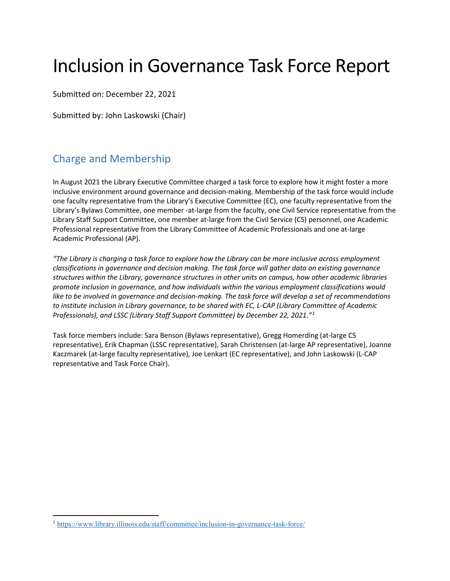# Inclusion in Governance Task Force Report

Submitted on: December 22, 2021

Submitted by: John Laskowski (Chair)

# <span id="page-0-1"></span>Charge and Membership

In August 2021 the Library Executive Committee charged a task force to explore how it might foster a more inclusive environment around governance and decision-making. Membership of the task force would include one faculty representative from the Library's Executive Committee (EC), one faculty representative from the Library's Bylaws Committee, one member -at-large from the faculty, one Civil Service representative from the Library Staff Support Committee, one member at-large from the Civil Service (CS) personnel, one Academic Professional representative from the Library Committee of Academic Professionals and one at-large Academic Professional (AP).

*"The Library is charging a task force to explore how the Library can be more inclusive across employment classifications in governance and decision making. The task force will gather data on existing governance structures within the Library, governance structures in other units on campus, how other academic libraries promote inclusion in governance, and how individuals within the various employment classifications would like to be involved in governance and decision-making. The task force will develop a set of recommendations to institute inclusion in Library governance, to be shared with EC, L-CAP (Library Committee of Academic Professionals), and LSSC (Library Staff Support Committee) by December 22, 2021."[1](#page-0-0)*

Task force members include: Sara Benson (Bylaws representative), Gregg Homerding (at-large CS representative), Erik Chapman (LSSC representative), Sarah Christensen (at-large AP representative), Joanne Kaczmarek (at-large faculty representative), Joe Lenkart (EC representative), and John Laskowski (L-CAP representative and Task Force Chair).

<span id="page-0-0"></span> <sup>1</sup> <https://www.library.illinois.edu/staff/committee/inclusion-in-governance-task-force/>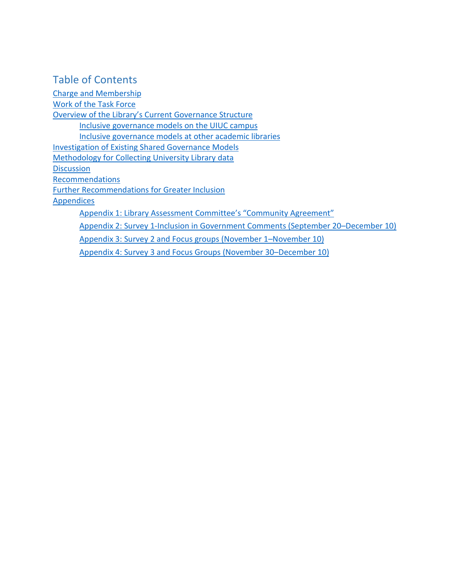# Table of Contents

[Charge and Membership](#page-0-1) [Work of the Task Force](#page-2-0) [Overview of the Library's Current Governance Structure](#page-2-1) [Inclusive governance models on the UIUC campus](#page-3-0) [Inclusive governance models at other academic libraries](#page-4-0) [Investigation of Existing Shared Governance Models](#page-3-1) [Methodology for Collecting University Library data](#page-4-1) **[Discussion](#page-5-0)** [Recommendations](#page-9-0) [Further Recommendations for Greater Inclusion](#page-10-0) [Appendices](#page-11-0) [Appendix 1: Library Assessment Committee's "Community Agreement"](#page-11-1) [Appendix 2: Survey 1-Inclusion in Government Comments \(September 20–December 10\)](#page-12-0) [Appendix 3: Survey 2 and Focus groups \(November 1–November 10\)](#page-14-0) [Appendix 4: Survey 3 and Focus Groups \(November 30–December 10\)](#page-16-0)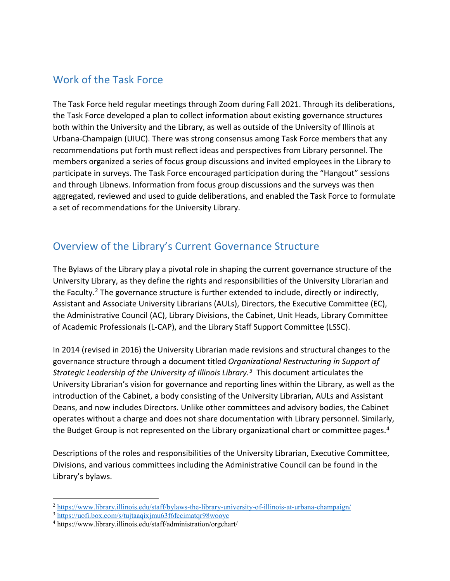# <span id="page-2-0"></span>Work of the Task Force

The Task Force held regular meetings through Zoom during Fall 2021. Through its deliberations, the Task Force developed a plan to collect information about existing governance structures both within the University and the Library, as well as outside of the University of Illinois at Urbana-Champaign (UIUC). There was strong consensus among Task Force members that any recommendations put forth must reflect ideas and perspectives from Library personnel. The members organized a series of focus group discussions and invited employees in the Library to participate in surveys. The Task Force encouraged participation during the "Hangout" sessions and through Libnews. Information from focus group discussions and the surveys was then aggregated, reviewed and used to guide deliberations, and enabled the Task Force to formulate a set of recommendations for the University Library.

# <span id="page-2-1"></span>Overview of the Library's Current Governance Structure

The Bylaws of the Library play a pivotal role in shaping the current governance structure of the University Library, as they define the rights and responsibilities of the University Librarian and the Faculty.<sup>2</sup> The governance structure is further extended to include, directly or indirectly, Assistant and Associate University Librarians (AULs), Directors, the Executive Committee (EC), the Administrative Council (AC), Library Divisions, the Cabinet, Unit Heads, Library Committee of Academic Professionals (L-CAP), and the Library Staff Support Committee (LSSC).

In 2014 (revised in 2016) the University Librarian made revisions and structural changes to the governance structure through a document titled *Organizational Restructuring in Support of Strategic Leadership of the University of Illinois Library.[3](#page-2-3)* This document articulates the University Librarian's vision for governance and reporting lines within the Library, as well as the introduction of the Cabinet, a body consisting of the University Librarian, AULs and Assistant Deans, and now includes Directors. Unlike other committees and advisory bodies, the Cabinet operates without a charge and does not share documentation with Library personnel. Similarly, the Budget Group is not represented on the Library organizational chart or committee pages.<sup>[4](#page-2-4)</sup>

Descriptions of the roles and responsibilities of the University Librarian, Executive Committee, Divisions, and various committees including the Administrative Council can be found in the Library's bylaws.

<span id="page-2-2"></span> <sup>2</sup> <https://www.library.illinois.edu/staff/bylaws-the-library-university-of-illinois-at-urbana-champaign/>

<span id="page-2-3"></span><sup>3</sup> <https://uofi.box.com/s/tujtaaqixjmu63f6fccimatqr98wooyc>

<span id="page-2-4"></span><sup>4</sup> https://www.library.illinois.edu/staff/administration/orgchart/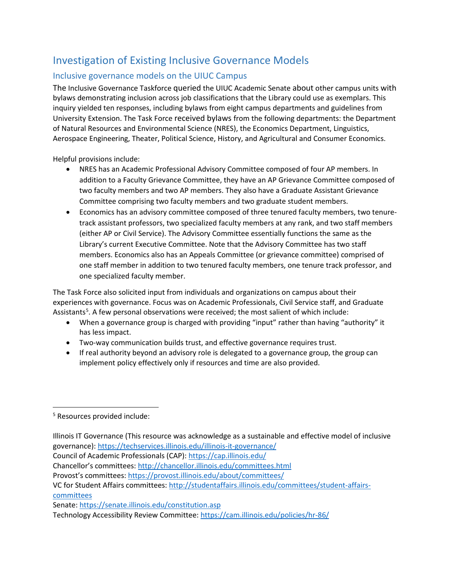# <span id="page-3-1"></span>Investigation of Existing Inclusive Governance Models

### <span id="page-3-0"></span>Inclusive governance models on the UIUC Campus

The Inclusive Governance Taskforce queried the UIUC Academic Senate about other campus units with bylaws demonstrating inclusion across job classifications that the Library could use as exemplars. This inquiry yielded ten responses, including bylaws from eight campus departments and guidelines from University Extension. The Task Force received bylaws from the following departments: the Department of Natural Resources and Environmental Science (NRES), the Economics Department, Linguistics, Aerospace Engineering, Theater, Political Science, History, and Agricultural and Consumer Economics.

Helpful provisions include:

- NRES has an Academic Professional Advisory Committee composed of four AP members. In addition to a Faculty Grievance Committee, they have an AP Grievance Committee composed of two faculty members and two AP members. They also have a Graduate Assistant Grievance Committee comprising two faculty members and two graduate student members.
- Economics has an advisory committee composed of three tenured faculty members, two tenuretrack assistant professors, two specialized faculty members at any rank, and two staff members (either AP or Civil Service). The Advisory Committee essentially functions the same as the Library's current Executive Committee. Note that the Advisory Committee has two staff members. Economics also has an Appeals Committee (or grievance committee) comprised of one staff member in addition to two tenured faculty members, one tenure track professor, and one specialized faculty member.

The Task Force also solicited input from individuals and organizations on campus about their experiences with governance. Focus was on Academic Professionals, Civil Service staff, and Graduate Assistants<sup>[5](#page-3-2)</sup>. A few personal observations were received; the most salient of which include:

- When a governance group is charged with providing "input" rather than having "authority" it has less impact.
- Two-way communication builds trust, and effective governance requires trust.
- If real authority beyond an advisory role is delegated to a governance group, the group can implement policy effectively only if resources and time are also provided.

 $\overline{a}$ 

Senate:<https://senate.illinois.edu/constitution.asp>

Technology Accessibility Review Committee:<https://cam.illinois.edu/policies/hr-86/>

<span id="page-3-2"></span><sup>5</sup> Resources provided include:

Illinois IT Governance (This resource was acknowledge as a sustainable and effective model of inclusive governance):<https://techservices.illinois.edu/illinois-it-governance/>

Council of Academic Professionals (CAP)[: https://cap.illinois.edu/](https://cap.illinois.edu/)

Chancellor's committees[: http://chancellor.illinois.edu/committees.html](http://chancellor.illinois.edu/committees.html)

Provost's committees:<https://provost.illinois.edu/about/committees/>

VC for Student Affairs committees: [http://studentaffairs.illinois.edu/committees/student-affairs](http://studentaffairs.illinois.edu/committees/student-affairs-committees)[committees](http://studentaffairs.illinois.edu/committees/student-affairs-committees)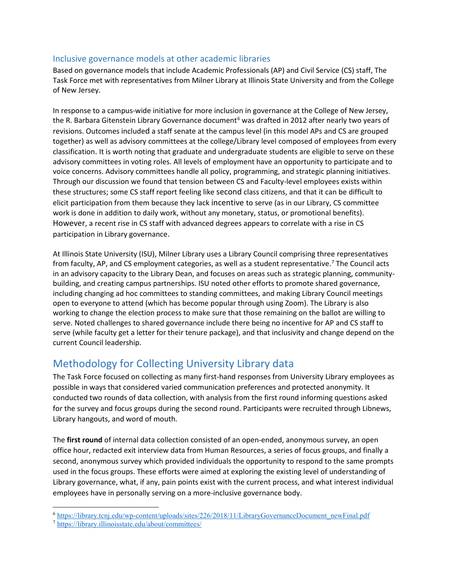### <span id="page-4-0"></span>Inclusive governance models at other academic libraries

Based on governance models that include Academic Professionals (AP) and Civil Service (CS) staff, The Task Force met with representatives from Milner Library at Illinois State University and from the College of New Jersey.

In response to a campus-wide initiative for more inclusion in governance at the College of New Jersey, the R. Barbara Gitenstein Library Governance document<sup>[6](#page-4-2)</sup> was drafted in 2012 after nearly two years of revisions. Outcomes included a staff senate at the campus level (in this model APs and CS are grouped together) as well as advisory committees at the college/Library level composed of employees from every classification. It is worth noting that graduate and undergraduate students are eligible to serve on these advisory committees in voting roles. All levels of employment have an opportunity to participate and to voice concerns. Advisory committees handle all policy, programming, and strategic planning initiatives. Through our discussion we found that tension between CS and Faculty-level employees exists within these structures; some CS staff report feeling like second class citizens, and that it can be difficult to elicit participation from them because they lack incentive to serve (as in our Library, CS committee work is done in addition to daily work, without any monetary, status, or promotional benefits). However, a recent rise in CS staff with advanced degrees appears to correlate with a rise in CS participation in Library governance.

At Illinois State University (ISU), Milner Library uses a Library Council comprising three representatives from faculty, AP, and CS employment categories, as well as a student representative.<sup>[7](#page-4-3)</sup> The Council acts in an advisory capacity to the Library Dean, and focuses on areas such as strategic planning, communitybuilding, and creating campus partnerships. ISU noted other efforts to promote shared governance, including changing ad hoc committees to standing committees, and making Library Council meetings open to everyone to attend (which has become popular through using Zoom). The Library is also working to change the election process to make sure that those remaining on the ballot are willing to serve. Noted challenges to shared governance include there being no incentive for AP and CS staff to serve (while faculty get a letter for their tenure package), and that inclusivity and change depend on the current Council leadership.

# <span id="page-4-1"></span>Methodology for Collecting University Library data

The Task Force focused on collecting as many first-hand responses from University Library employees as possible in ways that considered varied communication preferences and protected anonymity. It conducted two rounds of data collection, with analysis from the first round informing questions asked for the survey and focus groups during the second round. Participants were recruited through Libnews, Library hangouts, and word of mouth.

The **first round** of internal data collection consisted of an open-ended, anonymous survey, an open office hour, redacted exit interview data from Human Resources, a series of focus groups, and finally a second, anonymous survey which provided individuals the opportunity to respond to the same prompts used in the focus groups. These efforts were aimed at exploring the existing level of understanding of Library governance, what, if any, pain points exist with the current process, and what interest individual employees have in personally serving on a more-inclusive governance body.

<span id="page-4-2"></span> <sup>6</sup> [https://library.tcnj.edu/wp-content/uploads/sites/226/2018/11/LibraryGovernanceDocument\\_newFinal.pdf](https://library.tcnj.edu/wp-content/uploads/sites/226/2018/11/LibraryGovernanceDocument_newFinal.pdf)

<span id="page-4-3"></span><sup>7</sup> <https://library.illinoisstate.edu/about/committees/>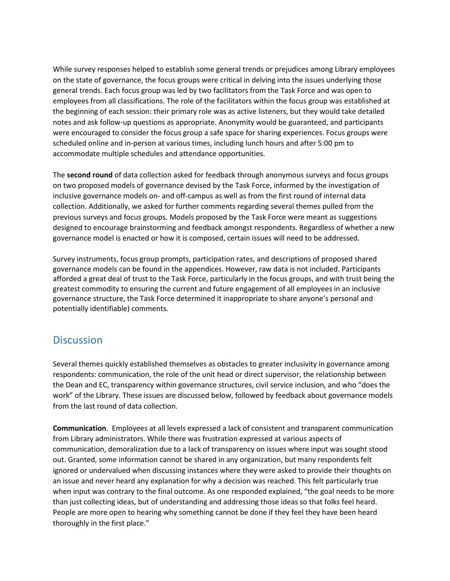While survey responses helped to establish some general trends or prejudices among Library employees on the state of governance, the focus groups were critical in delving into the issues underlying those general trends. Each focus group was led by two facilitators from the Task Force and was open to employees from all classifications. The role of the facilitators within the focus group was established at the beginning of each session: their primary role was as active listeners, but they would take detailed notes and ask follow-up questions as appropriate. Anonymity would be guaranteed, and participants were encouraged to consider the focus group a safe space for sharing experiences. Focus groups were scheduled online and in-person at various times, including lunch hours and after 5:00 pm to accommodate multiple schedules and attendance opportunities.

The **second round** of data collection asked for feedback through anonymous surveys and focus groups on two proposed models of governance devised by the Task Force, informed by the investigation of inclusive governance models on- and off-campus as well as from the first round of internal data collection. Additionally, we asked for further comments regarding several themes pulled from the previous surveys and focus groups. Models proposed by the Task Force were meant as suggestions designed to encourage brainstorming and feedback amongst respondents. Regardless of whether a new governance model is enacted or how it is composed, certain issues will need to be addressed.

Survey instruments, focus group prompts, participation rates, and descriptions of proposed shared governance models can be found in the appendices. However, raw data is not included. Participants afforded a great deal of trust to the Task Force, particularly in the focus groups, and with trust being the greatest commodity to ensuring the current and future engagement of all employees in an inclusive governance structure, the Task Force determined it inappropriate to share anyone's personal and potentially identifiable) comments.

## <span id="page-5-0"></span>**Discussion**

Several themes quickly established themselves as obstacles to greater inclusivity in governance among respondents: communication, the role of the unit head or direct supervisor, the relationship between the Dean and EC, transparency within governance structures, civil service inclusion, and who "does the work" of the Library. These issues are discussed below, followed by feedback about governance models from the last round of data collection.

**Communication**. Employees at all levels expressed a lack of consistent and transparent communication from Library administrators. While there was frustration expressed at various aspects of communication, demoralization due to a lack of transparency on issues where input was sought stood out. Granted, some information cannot be shared in any organization, but many respondents felt ignored or undervalued when discussing instances where they were asked to provide their thoughts on an issue and never heard any explanation for why a decision was reached. This felt particularly true when input was contrary to the final outcome. As one responded explained, "the goal needs to be more than just collecting ideas, but of understanding and addressing those ideas so that folks feel heard. People are more open to hearing why something cannot be done if they feel they have been heard thoroughly in the first place."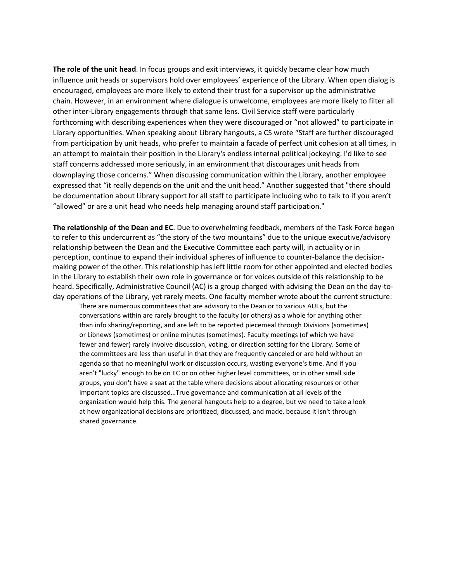**The role of the unit head**. In focus groups and exit interviews, it quickly became clear how much influence unit heads or supervisors hold over employees' experience of the Library. When open dialog is encouraged, employees are more likely to extend their trust for a supervisor up the administrative chain. However, in an environment where dialogue is unwelcome, employees are more likely to filter all other inter-Library engagements through that same lens. Civil Service staff were particularly forthcoming with describing experiences when they were discouraged or "not allowed" to participate in Library opportunities. When speaking about Library hangouts, a CS wrote "Staff are further discouraged from participation by unit heads, who prefer to maintain a facade of perfect unit cohesion at all times, in an attempt to maintain their position in the Library's endless internal political jockeying. I'd like to see staff concerns addressed more seriously, in an environment that discourages unit heads from downplaying those concerns." When discussing communication within the Library, another employee expressed that "it really depends on the unit and the unit head." Another suggested that "there should be documentation about Library support for all staff to participate including who to talk to if you aren't "allowed" or are a unit head who needs help managing around staff participation."

**The relationship of the Dean and EC**. Due to overwhelming feedback, members of the Task Force began to refer to this undercurrent as "the story of the two mountains" due to the unique executive/advisory relationship between the Dean and the Executive Committee each party will, in actuality or in perception, continue to expand their individual spheres of influence to counter-balance the decisionmaking power of the other. This relationship has left little room for other appointed and elected bodies in the Library to establish their own role in governance or for voices outside of this relationship to be heard. Specifically, Administrative Council (AC) is a group charged with advising the Dean on the day-today operations of the Library, yet rarely meets. One faculty member wrote about the current structure:

There are numerous committees that are advisory to the Dean or to various AULs, but the conversations within are rarely brought to the faculty (or others) as a whole for anything other than info sharing/reporting, and are left to be reported piecemeal through Divisions (sometimes) or Libnews (sometimes) or online minutes (sometimes). Faculty meetings (of which we have fewer and fewer) rarely involve discussion, voting, or direction setting for the Library. Some of the committees are less than useful in that they are frequently canceled or are held without an agenda so that no meaningful work or discussion occurs, wasting everyone's time. And if you aren't "lucky" enough to be on EC or on other higher level committees, or in other small side groups, you don't have a seat at the table where decisions about allocating resources or other important topics are discussed…True governance and communication at all levels of the organization would help this. The general hangouts help to a degree, but we need to take a look at how organizational decisions are prioritized, discussed, and made, because it isn't through shared governance.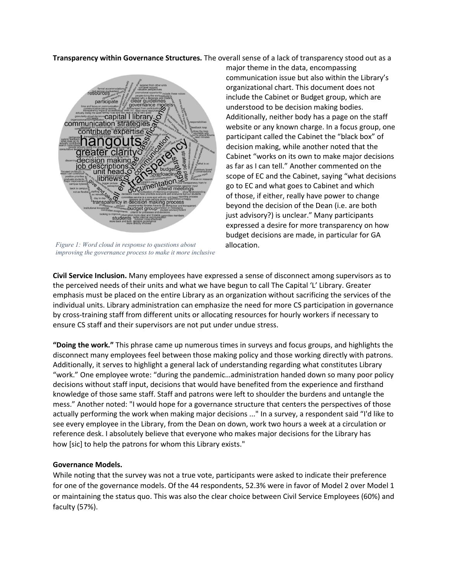**Transparency within Governance Structures.** The overall sense of a lack of transparency stood out as a



*Figure 1: Word cloud in response to questions about improving the governance process to make it more inclusive*

major theme in the data, encompassing communication issue but also within the Library's organizational chart. This document does not include the Cabinet or Budget group, which are understood to be decision making bodies. Additionally, neither body has a page on the staff website or any known charge. In a focus group, one participant called the Cabinet the "black box" of decision making, while another noted that the Cabinet "works on its own to make major decisions as far as I can tell." Another commented on the scope of EC and the Cabinet, saying "what decisions go to EC and what goes to Cabinet and which of those, if either, really have power to change beyond the decision of the Dean (i.e. are both just advisory?) is unclear." Many participants expressed a desire for more transparency on how budget decisions are made, in particular for GA allocation.

**Civil Service Inclusion.** Many employees have expressed a sense of disconnect among supervisors as to the perceived needs of their units and what we have begun to call The Capital 'L' Library. Greater emphasis must be placed on the entire Library as an organization without sacrificing the services of the individual units. Library administration can emphasize the need for more CS participation in governance by cross-training staff from different units or allocating resources for hourly workers if necessary to ensure CS staff and their supervisors are not put under undue stress.

**"Doing the work."** This phrase came up numerous times in surveys and focus groups, and highlights the disconnect many employees feel between those making policy and those working directly with patrons. Additionally, it serves to highlight a general lack of understanding regarding what constitutes Library "work." One employee wrote: "during the pandemic…administration handed down so many poor policy decisions without staff input, decisions that would have benefited from the experience and firsthand knowledge of those same staff. Staff and patrons were left to shoulder the burdens and untangle the mess." Another noted: "I would hope for a governance structure that centers the perspectives of those actually performing the work when making major decisions ..." In a survey, a respondent said "I'd like to see every employee in the Library, from the Dean on down, work two hours a week at a circulation or reference desk. I absolutely believe that everyone who makes major decisions for the Library has how [sic] to help the patrons for whom this Library exists."

#### **Governance Models.**

While noting that the survey was not a true vote, participants were asked to indicate their preference for one of the governance models. Of the 44 respondents, 52.3% were in favor of Model 2 over Model 1 or maintaining the status quo. This was also the clear choice between Civil Service Employees (60%) and faculty (57%).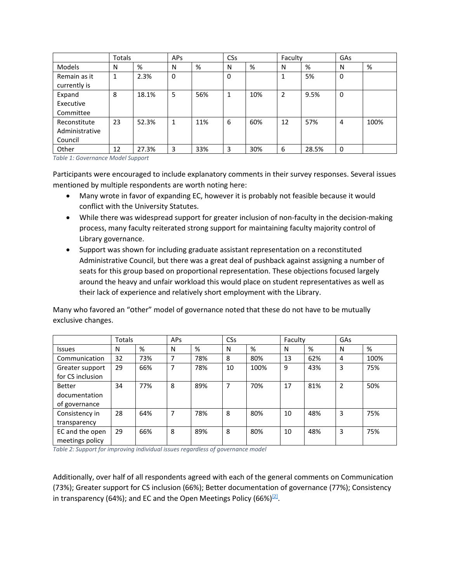|                                           | <b>Totals</b> |       | APs |     | <b>CSs</b> |     | Faculty |       | GAs |      |
|-------------------------------------------|---------------|-------|-----|-----|------------|-----|---------|-------|-----|------|
| <b>Models</b>                             | N             | %     | N   | %   | N          | %   | N       | %     | N   | %    |
| Remain as it<br>currently is              | 1             | 2.3%  | 0   |     | 0          |     |         | 5%    | 0   |      |
| Expand<br>Executive<br>Committee          | 8             | 18.1% | 5   | 56% | 1          | 10% | 2       | 9.5%  | 0   |      |
| Reconstitute<br>Administrative<br>Council | 23            | 52.3% | 1   | 11% | 6          | 60% | 12      | 57%   | 4   | 100% |
| Other                                     | 12            | 27.3% | 3   | 33% | 3          | 30% | 6       | 28.5% | 0   |      |

*Table 1: Governance Model Support*

Participants were encouraged to include explanatory comments in their survey responses. Several issues mentioned by multiple respondents are worth noting here:

- Many wrote in favor of expanding EC, however it is probably not feasible because it would conflict with the University Statutes.
- While there was widespread support for greater inclusion of non-faculty in the decision-making process, many faculty reiterated strong support for maintaining faculty majority control of Library governance.
- Support was shown for including graduate assistant representation on a reconstituted Administrative Council, but there was a great deal of pushback against assigning a number of seats for this group based on proportional representation. These objections focused largely around the heavy and unfair workload this would place on student representatives as well as their lack of experience and relatively short employment with the Library.

Many who favored an "other" model of governance noted that these do not have to be mutually exclusive changes.

|                                                 | Totals |     | <b>APs</b> |     | CSs |      | Faculty |     | GAs            |      |
|-------------------------------------------------|--------|-----|------------|-----|-----|------|---------|-----|----------------|------|
| <b>Issues</b>                                   | N      | %   | N          | %   | N   | %    | N       | %   | N              | %    |
| Communication                                   | 32     | 73% |            | 78% | 8   | 80%  | 13      | 62% | 4              | 100% |
| Greater support<br>for CS inclusion             | 29     | 66% | 7          | 78% | 10  | 100% | 9       | 43% | 3              | 75%  |
| <b>Better</b><br>documentation<br>of governance | 34     | 77% | 8          | 89% | 7   | 70%  | 17      | 81% | $\overline{2}$ | 50%  |
| Consistency in<br>transparency                  | 28     | 64% | 7          | 78% | 8   | 80%  | 10      | 48% | 3              | 75%  |
| EC and the open<br>meetings policy              | 29     | 66% | 8          | 89% | 8   | 80%  | 10      | 48% | 3              | 75%  |

*Table 2: Support for improving individual issues regardless of governance model*

Additionally, over half of all respondents agreed with each of the general comments on Communication (73%); Greater support for CS inclusion (66%); Better documentation of governance (77%); Consistency in transparency (64%); and EC and the Open Meetings Policy (66%) $[2]$ .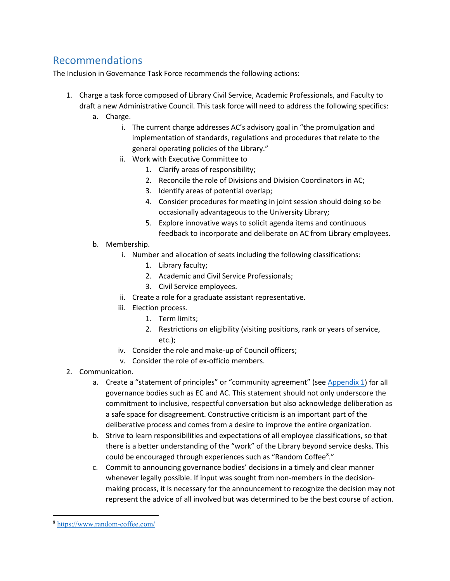# <span id="page-9-0"></span>Recommendations

The Inclusion in Governance Task Force recommends the following actions:

- 1. Charge a task force composed of Library Civil Service, Academic Professionals, and Faculty to draft a new Administrative Council. This task force will need to address the following specifics:
	- a. Charge.
		- i. The current charge addresses AC's advisory goal in "the promulgation and implementation of standards, regulations and procedures that relate to the general operating policies of the Library."
		- ii. Work with Executive Committee to
			- 1. Clarify areas of responsibility;
			- 2. Reconcile the role of Divisions and Division Coordinators in AC;
			- 3. Identify areas of potential overlap;
			- 4. Consider procedures for meeting in joint session should doing so be occasionally advantageous to the University Library;
			- 5. Explore innovative ways to solicit agenda items and continuous feedback to incorporate and deliberate on AC from Library employees.
	- b. Membership.
		- i. Number and allocation of seats including the following classifications:
			- 1. Library faculty;
			- 2. Academic and Civil Service Professionals;
			- 3. Civil Service employees.
		- ii. Create a role for a graduate assistant representative.
		- iii. Election process.
			- 1. Term limits;
			- 2. Restrictions on eligibility (visiting positions, rank or years of service, etc.);
		- iv. Consider the role and make-up of Council officers;
		- v. Consider the role of ex-officio members.
- 2. Communication.
	- a. Create a "statement of principles" or "community agreement" (see [Appendix 1\)](#page-11-1) for all governance bodies such as EC and AC. This statement should not only underscore the commitment to inclusive, respectful conversation but also acknowledge deliberation as a safe space for disagreement. Constructive criticism is an important part of the deliberative process and comes from a desire to improve the entire organization.
	- b. Strive to learn responsibilities and expectations of all employee classifications, so that there is a better understanding of the "work" of the Library beyond service desks. This could be encouraged through experiences such as "Random Coffee[8](#page-9-1)."
	- c. Commit to announcing governance bodies' decisions in a timely and clear manner whenever legally possible. If input was sought from non-members in the decisionmaking process, it is necessary for the announcement to recognize the decision may not represent the advice of all involved but was determined to be the best course of action.

<span id="page-9-1"></span> <sup>8</sup> <https://www.random-coffee.com/>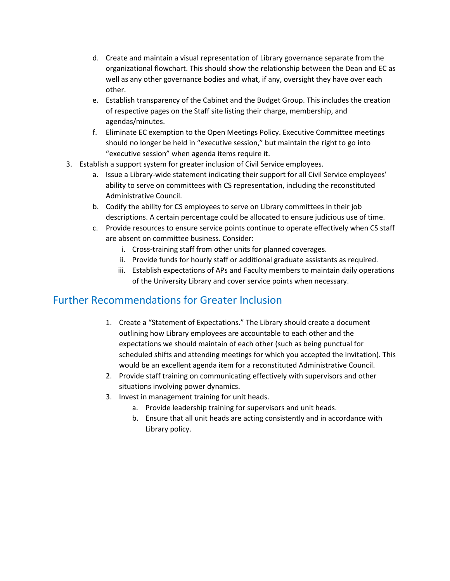- d. Create and maintain a visual representation of Library governance separate from the organizational flowchart. This should show the relationship between the Dean and EC as well as any other governance bodies and what, if any, oversight they have over each other.
- e. Establish transparency of the Cabinet and the Budget Group. This includes the creation of respective pages on the Staff site listing their charge, membership, and agendas/minutes.
- f. Eliminate EC exemption to the Open Meetings Policy. Executive Committee meetings should no longer be held in "executive session," but maintain the right to go into "executive session" when agenda items require it.
- 3. Establish a support system for greater inclusion of Civil Service employees.
	- a. Issue a Library-wide statement indicating their support for all Civil Service employees' ability to serve on committees with CS representation, including the reconstituted Administrative Council.
	- b. Codify the ability for CS employees to serve on Library committees in their job descriptions. A certain percentage could be allocated to ensure judicious use of time.
	- c. Provide resources to ensure service points continue to operate effectively when CS staff are absent on committee business. Consider:
		- i. Cross-training staff from other units for planned coverages.
		- ii. Provide funds for hourly staff or additional graduate assistants as required.
		- iii. Establish expectations of APs and Faculty members to maintain daily operations of the University Library and cover service points when necessary.

# <span id="page-10-0"></span>Further Recommendations for Greater Inclusion

- 1. Create a "Statement of Expectations." The Library should create a document outlining how Library employees are accountable to each other and the expectations we should maintain of each other (such as being punctual for scheduled shifts and attending meetings for which you accepted the invitation). This would be an excellent agenda item for a reconstituted Administrative Council.
- 2. Provide staff training on communicating effectively with supervisors and other situations involving power dynamics.
- 3. Invest in management training for unit heads.
	- a. Provide leadership training for supervisors and unit heads.
	- b. Ensure that all unit heads are acting consistently and in accordance with Library policy.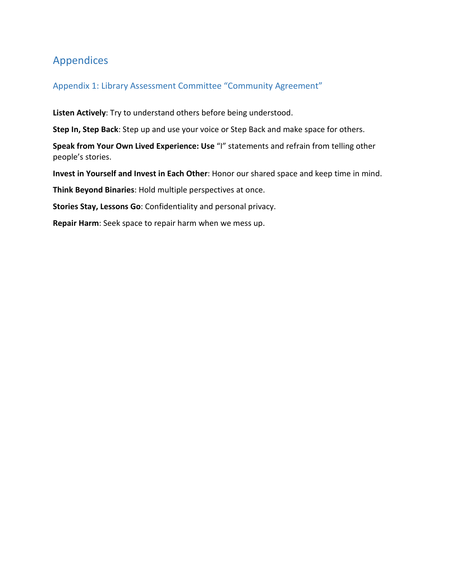# <span id="page-11-0"></span>Appendices

### <span id="page-11-1"></span>Appendix 1: Library Assessment Committee "Community Agreement"

**Listen Actively**: Try to understand others before being understood.

**Step In, Step Back**: Step up and use your voice or Step Back and make space for others.

**Speak from Your Own Lived Experience: Use** "I" statements and refrain from telling other people's stories.

**Invest in Yourself and Invest in Each Other**: Honor our shared space and keep time in mind.

**Think Beyond Binaries**: Hold multiple perspectives at once.

**Stories Stay, Lessons Go**: Confidentiality and personal privacy.

**Repair Harm**: Seek space to repair harm when we mess up.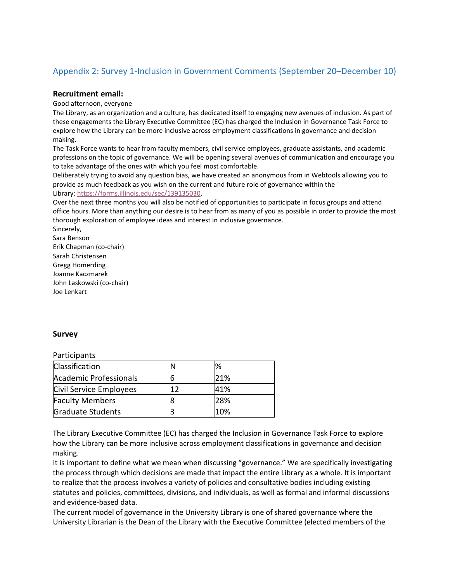### <span id="page-12-0"></span>Appendix 2: Survey 1-Inclusion in Government Comments (September 20–December 10)

#### **Recruitment email:**

Good afternoon, everyone

The Library, as an organization and a culture, has dedicated itself to engaging new avenues of inclusion. As part of these engagements the Library Executive Committee (EC) has charged the Inclusion in Governance Task Force to explore how the Library can be more inclusive across employment classifications in governance and decision making.

The Task Force wants to hear from faculty members, civil service employees, graduate assistants, and academic professions on the topic of governance. We will be opening several avenues of communication and encourage you to take advantage of the ones with which you feel most comfortable.

Deliberately trying to avoid any question bias, we have created an anonymous from in Webtools allowing you to provide as much feedback as you wish on the current and future role of governance within the Library: [https://forms.illinois.edu/sec/139135030.](https://forms.illinois.edu/sec/139135030)

Over the next three months you will also be notified of opportunities to participate in focus groups and attend office hours. More than anything our desire is to hear from as many of you as possible in order to provide the most thorough exploration of employee ideas and interest in inclusive governance.

Sincerely, Sara Benson Erik Chapman (co-chair) Sarah Christensen Gregg Homerding Joanne Kaczmarek John Laskowski (co-chair) Joe Lenkart

#### **Survey**

**Participants** 

| <b>Classification</b>   | ℅   |
|-------------------------|-----|
| Academic Professionals  | 21% |
| Civil Service Employees | 41% |
| <b>Faculty Members</b>  | 28% |
| Graduate Students       | 10% |

The Library Executive Committee (EC) has charged the Inclusion in Governance Task Force to explore how the Library can be more inclusive across employment classifications in governance and decision making.

It is important to define what we mean when discussing "governance." We are specifically investigating the process through which decisions are made that impact the entire Library as a whole. It is important to realize that the process involves a variety of policies and consultative bodies including existing statutes and policies, committees, divisions, and individuals, as well as formal and informal discussions and evidence-based data.

The current model of governance in the University Library is one of shared governance where the University Librarian is the Dean of the Library with the Executive Committee (elected members of the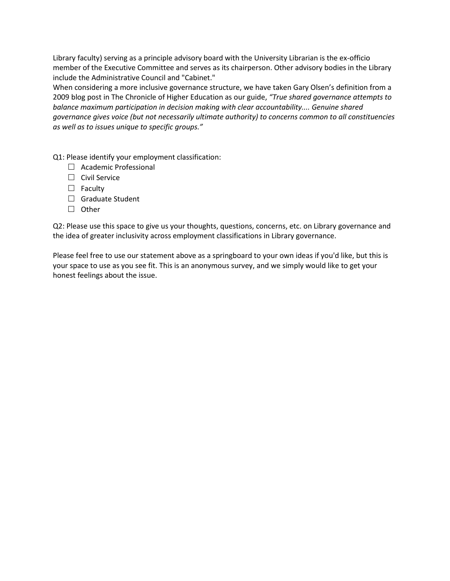Library faculty) serving as a principle advisory board with the University Librarian is the ex-officio member of the Executive Committee and serves as its chairperson. Other advisory bodies in the Library include the Administrative Council and "Cabinet."

When considering a more inclusive governance structure, we have taken Gary Olsen's definition from a 2009 blog post in The Chronicle of Higher Education as our guide, *"True shared governance attempts to balance maximum participation in decision making with clear accountability.... Genuine shared governance gives voice (but not necessarily ultimate authority) to concerns common to all constituencies as well as to issues unique to specific groups."*

Q1: Please identify your employment classification:

- $\Box$  Academic Professional
- $\Box$  Civil Service
- $\Box$  Faculty
- $\Box$  Graduate Student
- $\Box$  Other

Q2: Please use this space to give us your thoughts, questions, concerns, etc. on Library governance and the idea of greater inclusivity across employment classifications in Library governance.

Please feel free to use our statement above as a springboard to your own ideas if you'd like, but this is your space to use as you see fit. This is an anonymous survey, and we simply would like to get your honest feelings about the issue.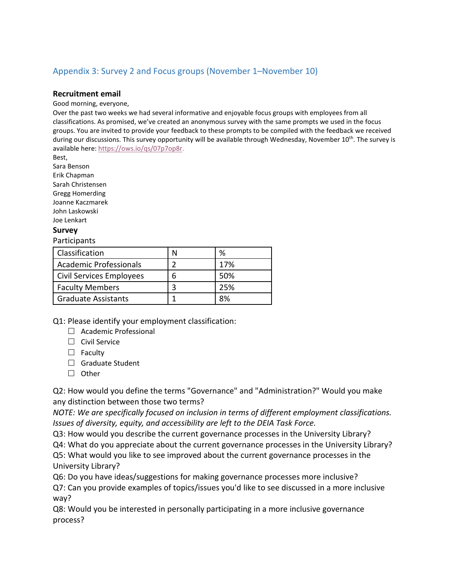### <span id="page-14-0"></span>Appendix 3: Survey 2 and Focus groups (November 1–November 10)

#### **Recruitment email**

Good morning, everyone,

Over the past two weeks we had several informative and enjoyable focus groups with employees from all classifications. As promised, we've created an anonymous survey with the same prompts we used in the focus groups. You are invited to provide your feedback to these prompts to be compiled with the feedback we received during our discussions. This survey opportunity will be available through Wednesday, November 10<sup>th</sup>. The survey is available here: [https://ows.io/qs/07p7op8r.](https://urldefense.com/v3/__https:/ows.io/qs/07p7op8r__;!!DZ3fjg!vKn2ilHl1xTLI8CO7J2hEjGEiFscfA46BQZcTNBEu9lCodE1uK9GoYILkN2t8-zsQmJjkKUU$)

Best,

Sara Benson

Erik Chapman Sarah Christensen Gregg Homerding Joanne Kaczmarek John Laskowski Joe Lenkart

#### **Survey**

#### Participants

| <b>Classification</b>      |   | ℅   |
|----------------------------|---|-----|
| Academic Professionals     |   | 17% |
| Civil Services Employees   | h | 50% |
| <b>Faculty Members</b>     |   | 25% |
| <b>Graduate Assistants</b> |   | 8%  |

Q1: Please identify your employment classification:

 $\Box$  Academic Professional

 $\Box$  Civil Service

- $\Box$  Faculty
- $\Box$  Graduate Student
- $\Box$  Other

Q2: How would you define the terms "Governance" and "Administration?" Would you make any distinction between those two terms?

*NOTE: We are specifically focused on inclusion in terms of different employment classifications. Issues of diversity, equity, and accessibility are left to the DEIA Task Force.*

Q3: How would you describe the current governance processes in the University Library? Q4: What do you appreciate about the current governance processes in the University Library? Q5: What would you like to see improved about the current governance processes in the University Library?

Q6: Do you have ideas/suggestions for making governance processes more inclusive? Q7: Can you provide examples of topics/issues you'd like to see discussed in a more inclusive way?

Q8: Would you be interested in personally participating in a more inclusive governance process?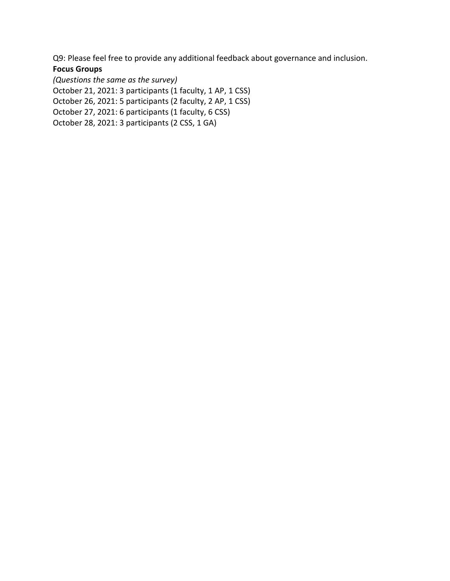Q9: Please feel free to provide any additional feedback about governance and inclusion.

### **Focus Groups**

*(Questions the same as the survey)* October 21, 2021: 3 participants (1 faculty, 1 AP, 1 CSS) October 26, 2021: 5 participants (2 faculty, 2 AP, 1 CSS) October 27, 2021: 6 participants (1 faculty, 6 CSS) October 28, 2021: 3 participants (2 CSS, 1 GA)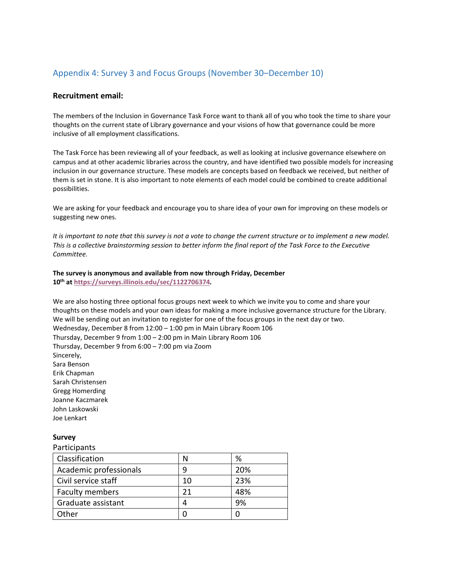### <span id="page-16-0"></span>Appendix 4: Survey 3 and Focus Groups (November 30–December 10)

#### **Recruitment email:**

The members of the Inclusion in Governance Task Force want to thank all of you who took the time to share your thoughts on the current state of Library governance and your visions of how that governance could be more inclusive of all employment classifications.

The Task Force has been reviewing all of your feedback, as well as looking at inclusive governance elsewhere on campus and at other academic libraries across the country, and have identified two possible models for increasing inclusion in our governance structure. These models are concepts based on feedback we received, but neither of them is set in stone. It is also important to note elements of each model could be combined to create additional possibilities.

We are asking for your feedback and encourage you to share idea of your own for improving on these models or suggesting new ones.

*It is important to note that this survey is not a vote to change the current structure or to implement a new model. This is a collective brainstorming session to better inform the final report of the Task Force to the Executive Committee.*

**The survey is anonymous and available from now through Friday, December 10th at <https://surveys.illinois.edu/sec/1122706374>***.*

We are also hosting three optional focus groups next week to which we invite you to come and share your thoughts on these models and your own ideas for making a more inclusive governance structure for the Library. We will be sending out an invitation to register for one of the focus groups in the next day or two. Wednesday, December 8 from 12:00 – 1:00 pm in Main Library Room 106 Thursday, December 9 from 1:00 – 2:00 pm in Main Library Room 106 Thursday, December 9 from 6:00 – 7:00 pm via Zoom Sincerely, Sara Benson Erik Chapman Sarah Christensen Gregg Homerding Joanne Kaczmarek John Laskowski Joe Lenkart

#### **Survey**

### **Participants** Classification  $\vert N \vert$   $\%$ Academic professionals  $\vert$  9 20% Civil service staff 10 23% Faculty members 21 a8% Graduate assistant  $\begin{array}{|c|c|c|c|c|} \hline \end{array}$  4  $\begin{array}{|c|c|c|c|c|} \hline \end{array}$  9% Other 0 0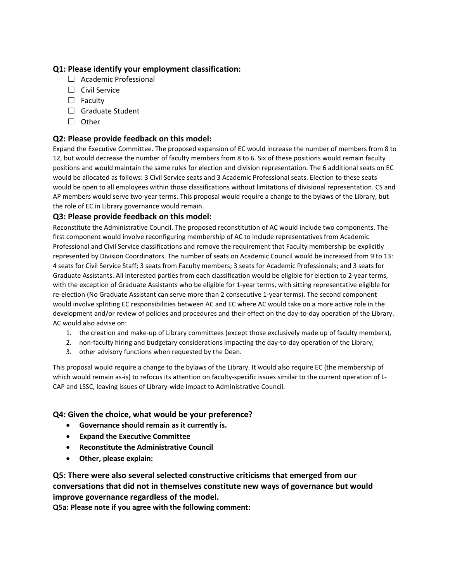### **Q1: Please identify your employment classification:**

- $\Box$  Academic Professional
- $\Box$  Civil Service
- $\Box$  Faculty
- $\Box$  Graduate Student
- $\Box$  Other

#### **Q2: Please provide feedback on this model:**

Expand the Executive Committee. The proposed expansion of EC would increase the number of members from 8 to 12, but would decrease the number of faculty members from 8 to 6. Six of these positions would remain faculty positions and would maintain the same rules for election and division representation. The 6 additional seats on EC would be allocated as follows: 3 Civil Service seats and 3 Academic Professional seats. Election to these seats would be open to all employees within those classifications without limitations of divisional representation. CS and AP members would serve two-year terms. This proposal would require a change to the bylaws of the Library, but the role of EC in Library governance would remain.

#### **Q3: Please provide feedback on this model:**

Reconstitute the Administrative Council. The proposed reconstitution of AC would include two components. The first component would involve reconfiguring membership of AC to include representatives from Academic Professional and Civil Service classifications and remove the requirement that Faculty membership be explicitly represented by Division Coordinators. The number of seats on Academic Council would be increased from 9 to 13: 4 seats for Civil Service Staff; 3 seats from Faculty members; 3 seats for Academic Professionals; and 3 seats for Graduate Assistants. All interested parties from each classification would be eligible for election to 2-year terms, with the exception of Graduate Assistants who be eligible for 1-year terms, with sitting representative eligible for re-election (No Graduate Assistant can serve more than 2 consecutive 1-year terms). The second component would involve splitting EC responsibilities between AC and EC where AC would take on a more active role in the development and/or review of policies and procedures and their effect on the day-to-day operation of the Library. AC would also advise on:

- 1. the creation and make-up of Library committees (except those exclusively made up of faculty members),
- 2. non-faculty hiring and budgetary considerations impacting the day-to-day operation of the Library,
- 3. other advisory functions when requested by the Dean.

This proposal would require a change to the bylaws of the Library. It would also require EC (the membership of which would remain as-is) to refocus its attention on faculty-specific issues similar to the current operation of L-CAP and LSSC, leaving issues of Library-wide impact to Administrative Council.

#### **Q4: Given the choice, what would be your preference?**

- **Governance should remain as it currently is.**
- **Expand the Executive Committee**
- **Reconstitute the Administrative Council**
- **Other, please explain:**

**Q5: There were also several selected constructive criticisms that emerged from our conversations that did not in themselves constitute new ways of governance but would improve governance regardless of the model.**

**Q5a: Please note if you agree with the following comment:**